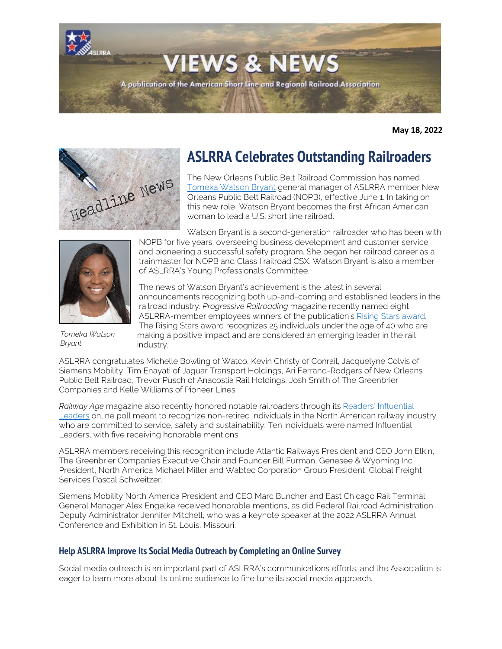

**May 18, 2022**



# **ASLRRA Celebrates Outstanding Railroaders**

The New Orleans Public Belt Railroad Commission has named [Tomeka Watson Bryant](https://www.portnola.com/info/news-media/press-releases/new-orleans-public-belt-railroad-names-tomeka-watson-bryant-general-manager) general manager of ASLRRA member New Orleans Public Belt Railroad (NOPB), effective June 1. In taking on this new role, Watson Bryant becomes the first African American woman to lead a U.S. short line railroad.



*Tomeka Watson Bryant*

Watson Bryant is a second-generation railroader who has been with NOPB for five years, overseeing business development and customer service and pioneering a successful safety program. She began her railroad career as a trainmaster for NOPB and Class I railroad CSX. Watson Bryant is also a member of ASLRRA's Young Professionals Committee.

The news of Watson Bryant's achievement is the latest in several announcements recognizing both up-and-coming and established leaders in the railroad industry. *Progressive Railroading* magazine recently named eight ASLRRA-member employees winners of the publication's [Rising Stars award.](https://www.progressiverailroading.com/people/news/Progressive-Railroading-announces-Rising-Stars-for-2022--66424)  The Rising Stars award recognizes 25 individuals under the age of 40 who are making a positive impact and are considered an emerging leader in the rail industry.

ASLRRA congratulates Michelle Bowling of Watco, Kevin Christy of Conrail, Jacquelyne Colvis of Siemens Mobility, Tim Enayati of Jaguar Transport Holdings, Ari Ferrand-Rodgers of New Orleans Public Belt Railroad, Trevor Pusch of Anacostia Rail Holdings, Josh Smith of The Greenbrier Companies and Kelle Williams of Pioneer Lines.

*Railway Age* magazine also recently honored notable railroaders through its [Readers' Influential](https://www.railwayage.com/news/leadership-defined/?RAchannel=home)  [Leaders](https://www.railwayage.com/news/leadership-defined/?RAchannel=home) online poll meant to recognize non-retired individuals in the North American railway industry who are committed to service, safety and sustainability. Ten individuals were named Influential Leaders, with five receiving honorable mentions.

ASLRRA members receiving this recognition include Atlantic Railways President and CEO John Elkin, The Greenbrier Companies Executive Chair and Founder Bill Furman, Genesee & Wyoming Inc. President, North America Michael Miller and Wabtec Corporation Group President, Global Freight Services Pascal Schweitzer.

Siemens Mobility North America President and CEO Marc Buncher and East Chicago Rail Terminal General Manager Alex Engelke received honorable mentions, as did Federal Railroad Administration Deputy Administrator Jennifer Mitchell, who was a keynote speaker at the 2022 ASLRRA Annual Conference and Exhibition in St. Louis, Missouri.

### **Help ASLRRA Improve Its Social Media Outreach by Completing an Online Survey**

Social media outreach is an important part of ASLRRA's communications efforts, and the Association is eager to learn more about its online audience to fine tune its social media approach.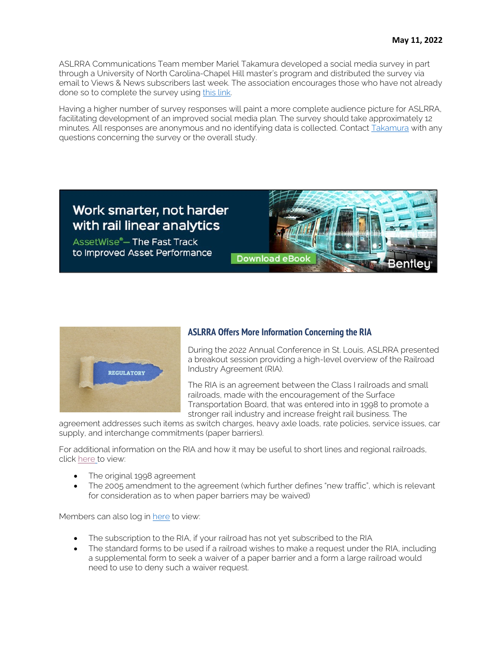ASLRRA Communications Team member Mariel Takamura developed a social media survey in part through a University of North Carolina-Chapel Hill master's program and distributed the survey via email to Views & News subscribers last week. The association encourages those who have not already done so to complete the survey using [this link.](https://unc.az1.qualtrics.com/jfe/form/SV_d7rdMcDVNJ1R8iy) 

Having a higher number of survey responses will paint a more complete audience picture for ASLRRA, facilitating development of an improved social media plan. The survey should take approximately 12 minutes. All responses are anonymous and no identifying data is collected. Contact [Takamura](mailto:mtakamura@aslrra.org?subject=Social%20Media%20Survey%5D) with any questions concerning the survey or the overall study.



AssetWise<sup>®</sup>-The Fast Track to Improved Asset Performance **Download eBoo** 



### **ASLRRA Offers More Information Concerning the RIA**

During the 2022 Annual Conference in St. Louis, ASLRRA presented a breakout session providing a high-level overview of the Railroad Industry Agreement (RIA).

The RIA is an agreement between the Class I railroads and small railroads, made with the encouragement of the Surface Transportation Board, that was entered into in 1998 to promote a stronger rail industry and increase freight rail business. The

agreement addresses such items as switch charges, heavy axle loads, rate policies, service issues, car supply, and interchange commitments (paper barriers).

For additional information on the RIA and how it may be useful to short lines and regional railroads, click [here](https://aslrra-my.sharepoint.com/:f:/g/personal/drichards_aslrra_org/EkILiBdwDOBBrsVJxaX2X2MBKu-dBPdz1DiLuyfBzOIrrQ?e=zQTR5a) [t](https://aslrra-my.sharepoint.com/:f:/g/personal/drichards_aslrra_org/EkILiBdwDOBBrsVJxaX2X2MBKu-dBPdz1DiLuyfBzOIrrQ?e=zQTR5a)o view:

- The original 1998 agreement
- The 2005 amendment to the agreement (which further defines "new traffic", which is relevant for consideration as to when paper barriers may be waived)

Members can also log in [here](https://www.aslrra.org/news/ria) to view:

- The subscription to the RIA, if your railroad has not yet subscribed to the RIA
- The standard forms to be used if a railroad wishes to make a request under the RIA, including a supplemental form to seek a waiver of a paper barrier and a form a large railroad would need to use to deny such a waiver request.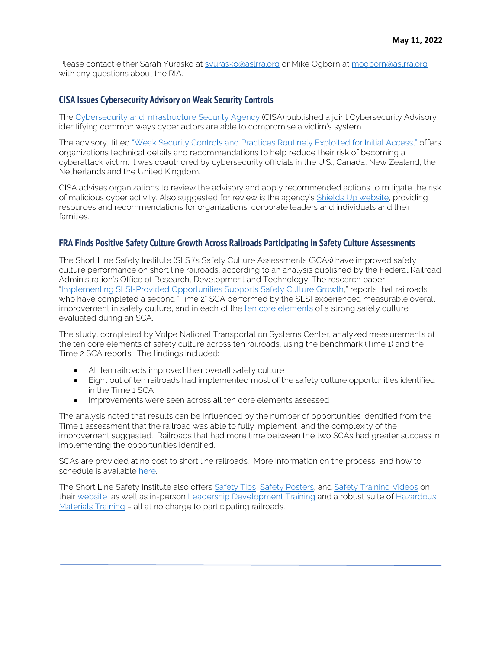Please contact either Sarah Yurasko at [syurasko@aslrra.org](mailto:syurasko@aslrra.org?subject=RIA%20Questions) or Mike Ogborn at [mogborn@aslrra.org](mailto:mogborn@aslrra.org?subject=RIA%20Questions) with any questions about the RIA.

### **CISA Issues Cybersecurity Advisory on Weak Security Controls**

The [Cybersecurity and Infrastructure Security Agency](https://www.cisa.gov/uscert) (CISA) published a joint Cybersecurity Advisory identifying common ways cyber actors are able to compromise a victim's system.

The advisory, titled ["Weak Security Controls and Practices Routinely Exploited for Initial Access,"](https://www.cisa.gov/uscert/ncas/alerts/aa22-137a) offers organizations technical details and recommendations to help reduce their risk of becoming a cyberattack victim. It was coauthored by cybersecurity officials in the U.S., Canada, New Zealand, the Netherlands and the United Kingdom.

CISA advises organizations to review the advisory and apply recommended actions to mitigate the risk of malicious cyber activity. Also suggested for review is the agency's [Shields Up website,](https://www.cisa.gov/shields-up) providing resources and recommendations for organizations, corporate leaders and individuals and their families.

### **FRA Finds Positive Safety Culture Growth Across Railroads Participating in Safety Culture Assessments**

The Short Line Safety Institute (SLSI)'s Safety Culture Assessments (SCAs) have improved safety culture performance on short line railroads, according to an analysis published by the Federal Railroad Administration's Office of Research, Development and Technology. The research paper, ["Implementing SLSI-Provided Opportunities Supports Safety Culture Growth,"](https://railroads.dot.gov/sites/fra.dot.gov/files/2022-04/SLSI-Issued%20Opps%20Support.pdf) reports that railroads who have completed a second "Time 2" SCA performed by the SLSI experienced measurable overall improvement in safety culture, and in each of the [ten core elements](https://www.shortlinesafety.org/about/strong-safety-culture/) of a strong safety culture evaluated during an SCA.

The study, completed by Volpe National Transportation Systems Center, analyzed measurements of the ten core elements of safety culture across ten railroads, using the benchmark (Time 1) and the Time 2 SCA reports. The findings included:

- All ten railroads improved their overall safety culture
- Eight out of ten railroads had implemented most of the safety culture opportunities identified in the Time 1 SCA
- Improvements were seen across all ten core elements assessed

The analysis noted that results can be influenced by the number of opportunities identified from the Time 1 assessment that the railroad was able to fully implement, and the complexity of the improvement suggested. Railroads that had more time between the two SCAs had greater success in implementing the opportunities identified.

SCAs are provided at no cost to short line railroads. More information on the process, and how to schedule is available [here.](https://www.shortlinesafety.org/safety-culture-assessment2/) 

The Short Line Safety Institute also offer[s Safety Tips,](https://www.shortlinesafety.org/safety-tips/) [Safety Posters,](https://www.shortlinesafety.org/safety-posters/) and [Safety Training Videos](https://www.shortlinesafety.org/safety-minute-videos/) on their [website,](http://www.shortlinesafety.org/) as well as in-person [Leadership Development Training](https://www.shortlinesafety.org/build-successful-leaders/) and a robust suite of [Hazardous](https://www.shortlinesafety.org/training/)  [Materials Training](https://www.shortlinesafety.org/training/) – all at no charge to participating railroads.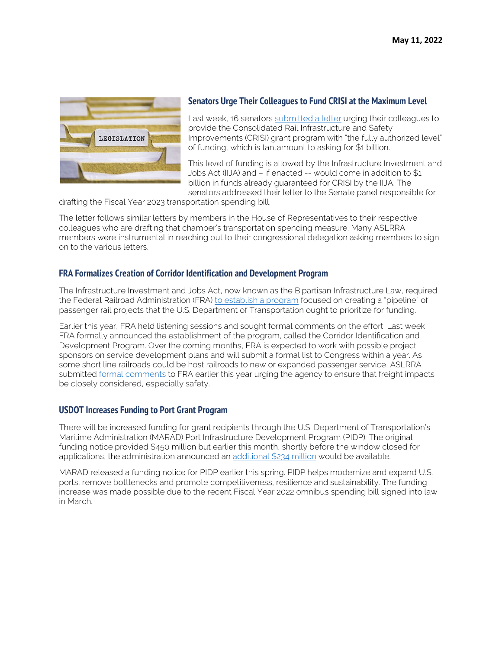

### **Senators Urge Their Colleagues to Fund CRISI at the Maximum Level**

Last week, 16 senators [submitted a letter](https://www.aslrra.org/aslrra/document-server/?cfp=aslrra/assets/File/public/news/views-news/documents/2022_05_13_FY23_CRISI_%20Approps_Letter_Final.pdf) urging their colleagues to provide the Consolidated Rail Infrastructure and Safety Improvements (CRISI) grant program with "the fully authorized level" of funding, which is tantamount to asking for \$1 billion.

This level of funding is allowed by the Infrastructure Investment and Jobs Act (IIJA) and – if enacted -- would come in addition to \$1 billion in funds already guaranteed for CRISI by the IIJA. The senators addressed their letter to the Senate panel responsible for

drafting the Fiscal Year 2023 transportation spending bill.

The letter follows similar letters by members in the House of Representatives to their respective colleagues who are drafting that chamber's transportation spending measure. Many ASLRRA members were instrumental in reaching out to their congressional delegation asking members to sign on to the various letters.

### **FRA Formalizes Creation of Corridor Identification and Development Program**

The Infrastructure Investment and Jobs Act, now known as the Bipartisan Infrastructure Law, required the Federal Railroad Administration (FRA) [to establish a program](https://www.federalregister.gov/documents/2022/05/13/2022-10250/establishment-of-the-corridor-identification-and-development-program) focused on creating a "pipeline" of passenger rail projects that the U.S. Department of Transportation ought to prioritize for funding.

Earlier this year, FRA held listening sessions and sought formal comments on the effort. Last week, FRA formally announced the establishment of the program, called the Corridor Identification and Development Program. Over the coming months, FRA is expected to work with possible project sponsors on service development plans and will submit a formal list to Congress within a year. As some short line railroads could be host railroads to new or expanded passenger service, ASLRRA submitted [formal comments](https://www.aslrra.org/aslrra/document-server/?cfp=aslrra/assets/File/public/news/testimony/030822_RFI_Comments.pdf) to FRA earlier this year urging the agency to ensure that freight impacts be closely considered, especially safety.

### **USDOT Increases Funding to Port Grant Program**

There will be increased funding for grant recipients through the U.S. Department of Transportation's Maritime Administration (MARAD) Port Infrastructure Development Program (PIDP). The original funding notice provided \$450 million but earlier this month, shortly before the window closed for applications, the administration announced an [additional \\$234 million](https://www.maritime.dot.gov/sites/marad.dot.gov/files/2022-05/PIDP%20NOFO%20Amendment%201.pdf) would be available.

MARAD released a funding notice for PIDP earlier this spring. PIDP helps modernize and expand U.S. ports, remove bottlenecks and promote competitiveness, resilience and sustainability. The funding increase was made possible due to the recent Fiscal Year 2022 omnibus spending bill signed into law in March.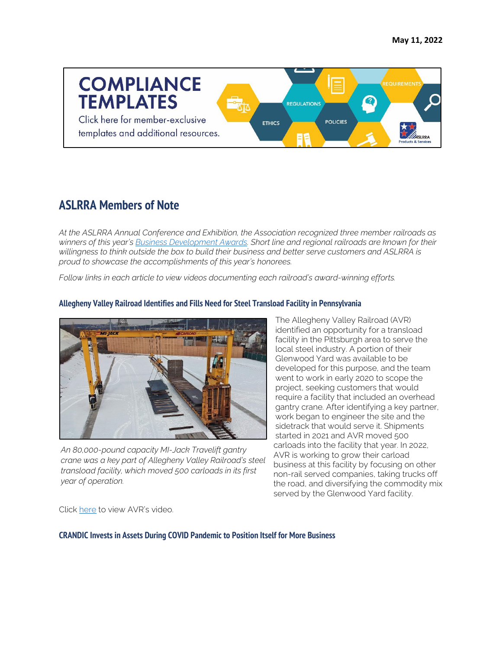

## **ASLRRA Members of Note**

*At the ASLRRA Annual Conference and Exhibition, the Association recognized three member railroads as winners of this year's [Business Development Awards.](https://www.aslrra.org/about-us/industry-awards-recognition/business-development-award/) Short line and regional railroads are known for their willingness to think outside the box to build their business and better serve customers and ASLRRA is proud to showcase the accomplishments of this year's honorees.* 

*Follow links in each article to view videos documenting each railroad's award-winning efforts.*



**Allegheny Valley Railroad Identifies and Fills Need for Steel Transload Facility in Pennsylvania**

The Allegheny Valley Railroad (AVR) identified an opportunity for a transload facility in the Pittsburgh area to serve the local steel industry. A portion of their Glenwood Yard was available to be developed for this purpose, and the team went to work in early 2020 to scope the project, seeking customers that would require a facility that included an overhead gantry crane. After identifying a key partner, work began to engineer the site and the sidetrack that would serve it. Shipments started in 2021 and AVR moved 500 carloads into the facility that year. In 2022, AVR is working to grow their carload business at this facility by focusing on other non-rail served companies, taking trucks off the road, and diversifying the commodity mix served by the Glenwood Yard facility.

*An 80,000-pound capacity MI-Jack Travelift gantry crane was a key part of Allegheny Valley Railroad's steel transload facility, which moved 500 carloads in its first year of operation.*

Click [here](https://www.youtube.com/watch?v=qZTgdFc269U) to view AVR's video.

**CRANDIC Invests in Assets During COVID Pandemic to Position Itself for More Business**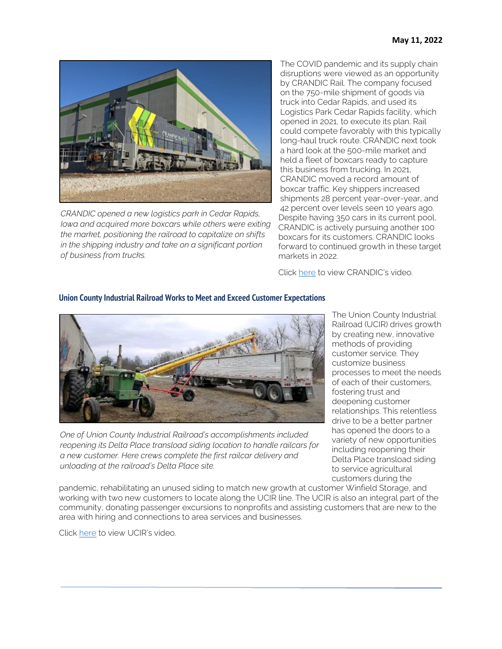

*CRANDIC opened a new logistics park in Cedar Rapids, Iowa and acquired more boxcars while others were exiting the market, positioning the railroad to capitalize on shifts in the shipping industry and take on a significant portion of business from trucks.*

The COVID pandemic and its supply chain disruptions were viewed as an opportunity by CRANDIC Rail. The company focused on the 750-mile shipment of goods via truck into Cedar Rapids, and used its Logistics Park Cedar Rapids facility, which opened in 2021, to execute its plan. Rail could compete favorably with this typically long-haul truck route. CRANDIC next took a hard look at the 500-mile market and held a fleet of boxcars ready to capture this business from trucking. In 2021, CRANDIC moved a record amount of boxcar traffic. Key shippers increased shipments 28 percent year-over-year, and 42 percent over levels seen 10 years ago. Despite having 350 cars in its current pool, CRANDIC is actively pursuing another 100 boxcars for its customers. CRANDIC looks forward to continued growth in these target markets in 2022.

Click [here](https://www.youtube.com/watch?v=t6DeLByO4dQ) to view CRANDIC's video.

### **Union County Industrial Railroad Works to Meet and Exceed Customer Expectations**



*One of Union County Industrial Railroad's accomplishments included reopening its Delta Place transload siding location to handle railcars for a new customer. Here crews complete the first railcar delivery and unloading at the railroad's Delta Place site.*

The Union County Industrial Railroad (UCIR) drives growth by creating new, innovative methods of providing customer service. They customize business processes to meet the needs of each of their customers, fostering trust and deepening customer relationships. This relentless drive to be a better partner has opened the doors to a variety of new opportunities including reopening their Delta Place transload siding to service agricultural customers during the

pandemic, rehabilitating an unused siding to match new growth at customer Winfield Storage, and working with two new customers to locate along the UCIR line. The UCIR is also an integral part of the community, donating passenger excursions to nonprofits and assisting customers that are new to the area with hiring and connections to area services and businesses.

Click [here](https://www.youtube.com/watch?v=k9MjlKQuV0k) to view UCIR's video.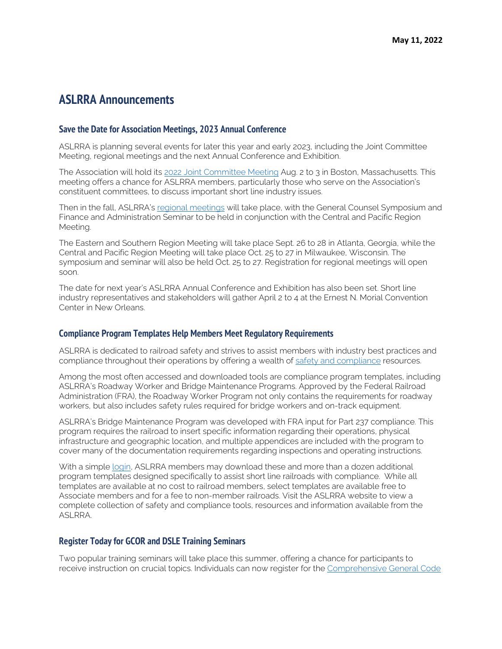### **ASLRRA Announcements**

#### **Save the Date for Association Meetings, 2023 Annual Conference**

ASLRRA is planning several events for later this year and early 2023, including the Joint Committee Meeting, regional meetings and the next Annual Conference and Exhibition.

The Association will hold its [2022 Joint Committee Meeting](https://www.aslrra.org/events/joint-committee-meeting/) Aug. 2 to 3 in Boston, Massachusetts. This meeting offers a chance for ASLRRA members, particularly those who serve on the Association's constituent committees, to discuss important short line industry issues.

Then in the fall, ASLRRA's [regional meetings](https://www.aslrra.org/events/regional-meetings/) will take place, with the General Counsel Symposium and Finance and Administration Seminar to be held in conjunction with the Central and Pacific Region Meeting.

The Eastern and Southern Region Meeting will take place Sept. 26 to 28 in Atlanta, Georgia, while the Central and Pacific Region Meeting will take place Oct. 25 to 27 in Milwaukee, Wisconsin. The symposium and seminar will also be held Oct. 25 to 27. Registration for regional meetings will open soon.

The date for next year's ASLRRA Annual Conference and Exhibition has also been set. Short line industry representatives and stakeholders will gather April 2 to 4 at the Ernest N. Morial Convention Center in New Orleans.

#### **Compliance Program Templates Help Members Meet Regulatory Requirements**

ASLRRA is dedicated to railroad safety and strives to assist members with industry best practices and compliance throughout their operations by offering a wealth of [safety and compliance](https://www.aslrra.org/safety-compliance/safety-compliance/) resources.

Among the most often accessed and downloaded tools are compliance program templates, including ASLRRA's Roadway Worker and Bridge Maintenance Programs. Approved by the Federal Railroad Administration (FRA), the Roadway Worker Program not only contains the requirements for roadway workers, but also includes safety rules required for bridge workers and on-track equipment.

ASLRRA's Bridge Maintenance Program was developed with FRA input for Part 237 compliance. This program requires the railroad to insert specific information regarding their operations, physical infrastructure and geographic location, and multiple appendices are included with the program to cover many of the documentation requirements regarding inspections and operating instructions.

With a simple [login,](https://aslrra.force.com/s/login/?ec=302&inst=4W&startURL=%2Fidp%2Flogin%3Fapp%3D0sp4W000000wkde%26RelayState%3DaHR0cHM6Ly93d3cuYXNscnJhLm9yZy9zYWZldHktY29tcGxpYW5jZS9jb21wbGlhbmNlLXRlbXBsYXRlcy8%253D%26binding%3DHttpPost%26inresponseto%3DASLRRA) ASLRRA members may download these and more than a dozen additional program templates designed specifically to assist short line railroads with compliance. While all templates are available at no cost to railroad members, select templates are available free to Associate members and for a fee to non-member railroads. Visit the ASLRRA website to view a complete collection of safety and compliance tools, resources and information available from the ASLRRA.

#### **Register Today for GCOR and DSLE Training Seminars**

Two popular training seminars will take place this summer, offering a chance for participants to receive instruction on crucial topics. Individuals can now register for the [Comprehensive General Code](https://www.aslrra.org/education/training-seminars/comprehensive-general-code-of-operating-rules-gcor-training-seminar/)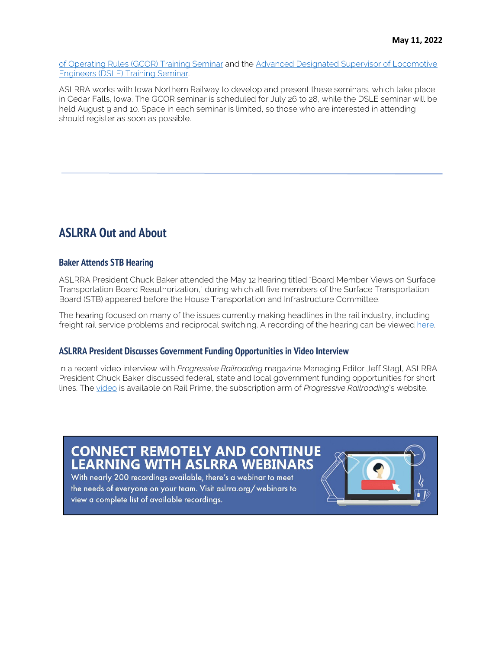[of Operating Rules \(GCOR\) Training Seminar](https://www.aslrra.org/education/training-seminars/comprehensive-general-code-of-operating-rules-gcor-training-seminar/) and the [Advanced Designated Supervisor of Locomotive](https://www.aslrra.org/education/training-seminars/advanced-designated-supervisor-of-locomotive-engineers-dsle-training-seminar/)  [Engineers \(DSLE\) Training Seminar.](https://www.aslrra.org/education/training-seminars/advanced-designated-supervisor-of-locomotive-engineers-dsle-training-seminar/) 

ASLRRA works with Iowa Northern Railway to develop and present these seminars, which take place in Cedar Falls, Iowa. The GCOR seminar is scheduled for July 26 to 28, while the DSLE seminar will be held August 9 and 10. Space in each seminar is limited, so those who are interested in attending should register as soon as possible.

### **ASLRRA Out and About**

### **Baker Attends STB Hearing**

ASLRRA President Chuck Baker attended the May 12 hearing titled "Board Member Views on Surface Transportation Board Reauthorization," during which all five members of the Surface Transportation Board (STB) appeared before the House Transportation and Infrastructure Committee.

The hearing focused on many of the issues currently making headlines in the rail industry, including freight rail service problems and reciprocal switching. A recording of the hearing can be viewed here.

### **ASLRRA President Discusses Government Funding Opportunities in Video Interview**

In a recent video interview with *Progressive Railroading* magazine Managing Editor Jeff Stagl, ASLRRA President Chuck Baker discussed federal, state and local government funding opportunities for short lines. Th[e video](https://www.progressiverailroading.com/RailPrime/details/Video-ASLRRA-President-Chuck-Baker-on-government-funding-opportunities-for-short-lines--66573?oly_enc_id=6355J9969923B5A&utm_source=railprimeenews&utm_medium=email&utm_campaign=railprimeenews) is available on Rail Prime, the subscription arm of *Progressive Railroading*'s website.

## **CONNECT REMOTELY AND CONTINUE LEARNING WITH ASLRRA WEBINARS**

With nearly 200 recordings available, there's a webinar to meet the needs of everyone on your team. Visit aslrra.org/webinars to view a complete list of available recordings.

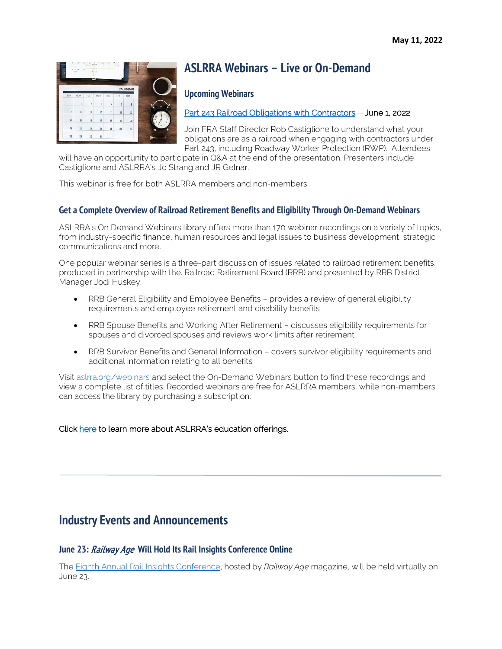

## **ASLRRA Webinars – Live or On-Demand**

### **Upcoming Webinars**

### [Part 243 Railroad Obligations with Contractors](https://attendee.gotowebinar.com/register/7543309894628819979) - June 1, 2022

Join FRA Staff Director Rob Castiglione to understand what your obligations are as a railroad when engaging with contractors under Part 243, including Roadway Worker Protection (RWP). Attendees

will have an opportunity to participate in Q&A at the end of the presentation. Presenters include Castiglione and ASLRRA's Jo Strang and JR Gelnar.

This webinar is free for both ASLRRA members and non-members.

### **Get a Complete Overview of Railroad Retirement Benefits and Eligibility Through On-Demand Webinars**

ASLRRA's On Demand Webinars library offers more than 170 webinar recordings on a variety of topics, from industry-specific finance, human resources and legal issues to business development, strategic communications and more.

One popular webinar series is a three-part discussion of issues related to railroad retirement benefits, produced in partnership with the. Railroad Retirement Board (RRB) and presented by RRB District Manager Jodi Huskey:

- RRB General Eligibility and Employee Benefits provides a review of general eligibility requirements and employee retirement and disability benefits
- RRB Spouse Benefits and Working After Retirement discusses eligibility requirements for spouses and divorced spouses and reviews work limits after retirement
- RRB Survivor Benefits and General Information covers survivor eligibility requirements and additional information relating to all benefits

Visit [aslrra.org/webinars](https://www.aslrra.org/education/webinars/) and select the On-Demand Webinars button to find these recordings and view a complete list of titles. Recorded webinars are free for ASLRRA members, while non-members can access the library by purchasing a subscription.

### Click [here](https://www.aslrra.org/education/education-offerings/) to learn more about ASLRRA's education offerings.

### **Industry Events and Announcements**

### **June 23:** Railway Age **Will Hold Its Rail Insights Conference Online**

The [Eighth Annual Rail Insights Conference,](https://www.railwayage.com/news/rail-insights-2022-oberman-itzkoff-to-talk-freight-service/) hosted by *Railway Age* magazine, will be held virtually on June 23.